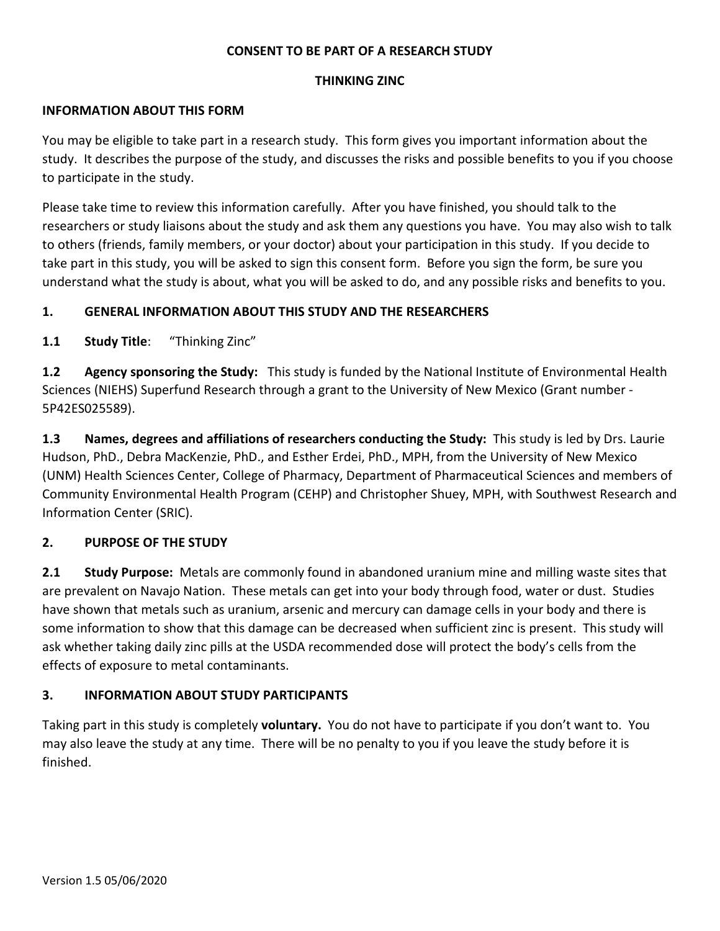#### **CONSENT TO BE PART OF A RESEARCH STUDY**

#### **THINKING ZINC**

#### **INFORMATION ABOUT THIS FORM**

You may be eligible to take part in a research study. This form gives you important information about the study. It describes the purpose of the study, and discusses the risks and possible benefits to you if you choose to participate in the study.

Please take time to review this information carefully. After you have finished, you should talk to the researchers or study liaisons about the study and ask them any questions you have. You may also wish to talk to others (friends, family members, or your doctor) about your participation in this study. If you decide to take part in this study, you will be asked to sign this consent form. Before you sign the form, be sure you understand what the study is about, what you will be asked to do, and any possible risks and benefits to you.

### **1. GENERAL INFORMATION ABOUT THIS STUDY AND THE RESEARCHERS**

**1.1 Study Title**: "Thinking Zinc"

**1.2 Agency sponsoring the Study:** This study is funded by the National Institute of Environmental Health Sciences (NIEHS) Superfund Research through a grant to the University of New Mexico (Grant number - 5P42ES025589).

**1.3 Names, degrees and affiliations of researchers conducting the Study:** This study is led by Drs. Laurie Hudson, PhD., Debra MacKenzie, PhD., and Esther Erdei, PhD., MPH, from the University of New Mexico (UNM) Health Sciences Center, College of Pharmacy, Department of Pharmaceutical Sciences and members of Community Environmental Health Program (CEHP) and Christopher Shuey, MPH, with Southwest Research and Information Center (SRIC).

### **2. PURPOSE OF THE STUDY**

**2.1 Study Purpose:** Metals are commonly found in abandoned uranium mine and milling waste sites that are prevalent on Navajo Nation. These metals can get into your body through food, water or dust. Studies have shown that metals such as uranium, arsenic and mercury can damage cells in your body and there is some information to show that this damage can be decreased when sufficient zinc is present. This study will ask whether taking daily zinc pills at the USDA recommended dose will protect the body's cells from the effects of exposure to metal contaminants.

### **3. INFORMATION ABOUT STUDY PARTICIPANTS**

Taking part in this study is completely **voluntary.** You do not have to participate if you don't want to. You may also leave the study at any time. There will be no penalty to you if you leave the study before it is finished.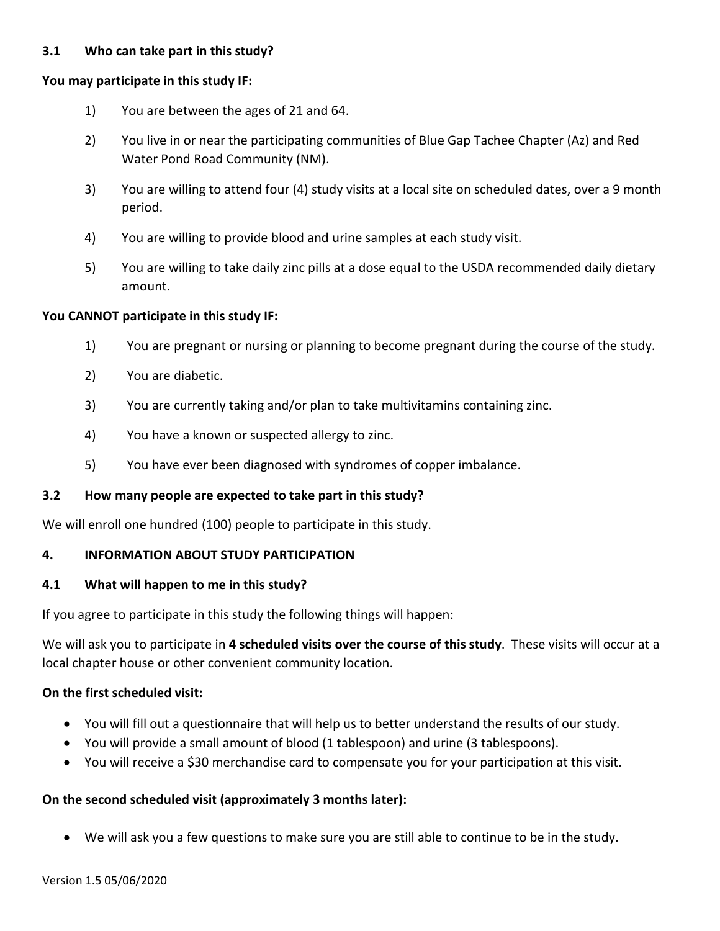### **3.1 Who can take part in this study?**

#### **You may participate in this study IF:**

- 1) You are between the ages of 21 and 64.
- 2) You live in or near the participating communities of Blue Gap Tachee Chapter (Az) and Red Water Pond Road Community (NM).
- 3) You are willing to attend four (4) study visits at a local site on scheduled dates, over a 9 month period.
- 4) You are willing to provide blood and urine samples at each study visit.
- 5) You are willing to take daily zinc pills at a dose equal to the USDA recommended daily dietary amount.

#### **You CANNOT participate in this study IF:**

- 1) You are pregnant or nursing or planning to become pregnant during the course of the study.
- 2) You are diabetic.
- 3) You are currently taking and/or plan to take multivitamins containing zinc.
- 4) You have a known or suspected allergy to zinc.
- 5) You have ever been diagnosed with syndromes of copper imbalance.

#### **3.2 How many people are expected to take part in this study?**

We will enroll one hundred (100) people to participate in this study.

#### **4. INFORMATION ABOUT STUDY PARTICIPATION**

#### **4.1 What will happen to me in this study?**

If you agree to participate in this study the following things will happen:

We will ask you to participate in **4 scheduled visits over the course of this study**. These visits will occur at a local chapter house or other convenient community location.

#### **On the first scheduled visit:**

- You will fill out a questionnaire that will help us to better understand the results of our study.
- You will provide a small amount of blood (1 tablespoon) and urine (3 tablespoons).
- You will receive a \$30 merchandise card to compensate you for your participation at this visit.

#### **On the second scheduled visit (approximately 3 months later):**

• We will ask you a few questions to make sure you are still able to continue to be in the study.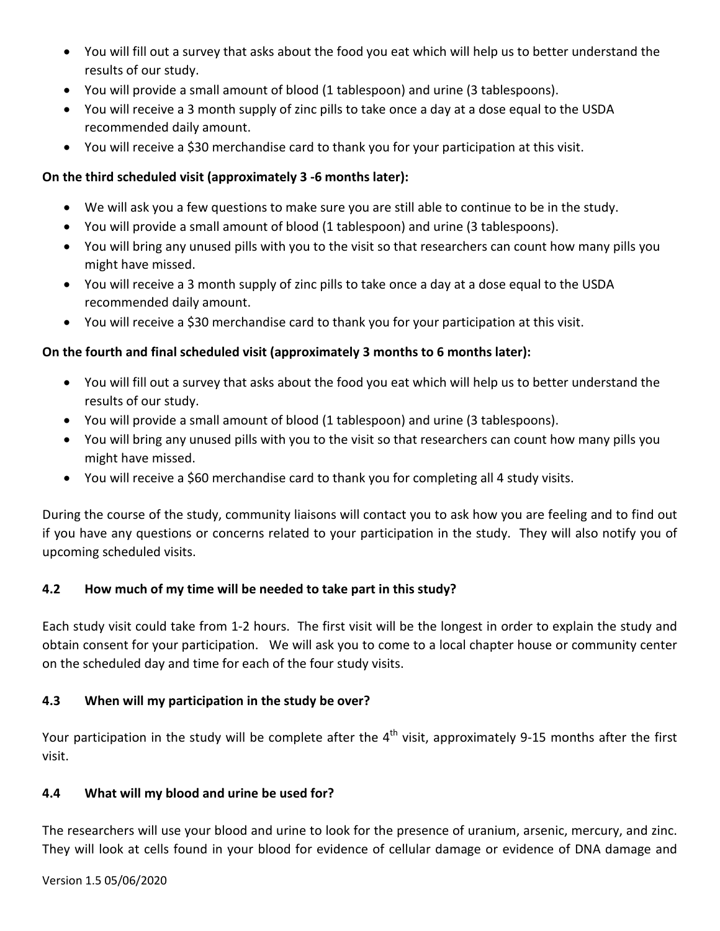- You will fill out a survey that asks about the food you eat which will help us to better understand the results of our study.
- You will provide a small amount of blood (1 tablespoon) and urine (3 tablespoons).
- You will receive a 3 month supply of zinc pills to take once a day at a dose equal to the USDA recommended daily amount.
- You will receive a \$30 merchandise card to thank you for your participation at this visit.

# **On the third scheduled visit (approximately 3 -6 months later):**

- We will ask you a few questions to make sure you are still able to continue to be in the study.
- You will provide a small amount of blood (1 tablespoon) and urine (3 tablespoons).
- You will bring any unused pills with you to the visit so that researchers can count how many pills you might have missed.
- You will receive a 3 month supply of zinc pills to take once a day at a dose equal to the USDA recommended daily amount.
- You will receive a \$30 merchandise card to thank you for your participation at this visit.

# **On the fourth and final scheduled visit (approximately 3 months to 6 months later):**

- You will fill out a survey that asks about the food you eat which will help us to better understand the results of our study.
- You will provide a small amount of blood (1 tablespoon) and urine (3 tablespoons).
- You will bring any unused pills with you to the visit so that researchers can count how many pills you might have missed.
- You will receive a \$60 merchandise card to thank you for completing all 4 study visits.

During the course of the study, community liaisons will contact you to ask how you are feeling and to find out if you have any questions or concerns related to your participation in the study. They will also notify you of upcoming scheduled visits.

# **4.2 How much of my time will be needed to take part in this study?**

Each study visit could take from 1-2 hours. The first visit will be the longest in order to explain the study and obtain consent for your participation. We will ask you to come to a local chapter house or community center on the scheduled day and time for each of the four study visits.

# **4.3 When will my participation in the study be over?**

Your participation in the study will be complete after the  $4<sup>th</sup>$  visit, approximately 9-15 months after the first visit.

# **4.4 What will my blood and urine be used for?**

The researchers will use your blood and urine to look for the presence of uranium, arsenic, mercury, and zinc. They will look at cells found in your blood for evidence of cellular damage or evidence of DNA damage and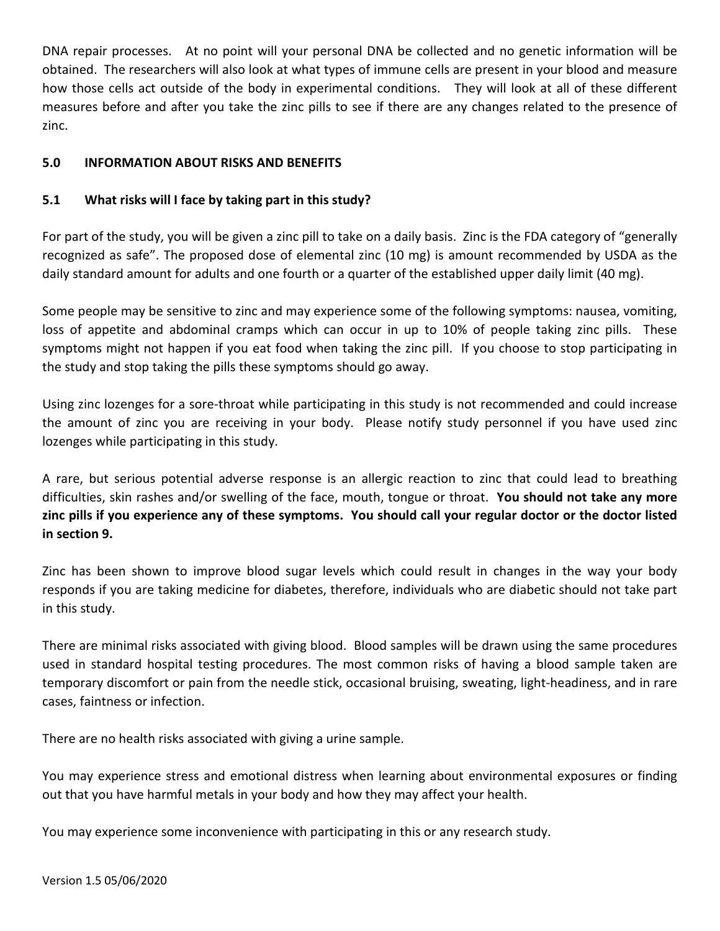DNA repair processes. At no point will your personal DNA be collected and no genetic information will be obtained. The researchers will also look at what types of immune cells are present in your blood and measure how those cells act outside of the body in experimental conditions. They will look at all of these different measures before and after you take the zinc pills to see if there are any changes related to the presence of zinc.

### **5.0 INFORMATION ABOUT RISKS AND BENEFITS**

### **5.1 What risks will I face by taking part in this study?**

For part of the study, you will be given a zinc pill to take on a daily basis. Zinc is the FDA category of "generally recognized as safe". The proposed dose of elemental zinc (10 mg) is amount recommended by USDA as the daily standard amount for adults and one fourth or a quarter of the established upper daily limit (40 mg).

Some people may be sensitive to zinc and may experience some of the following symptoms: nausea, vomiting, loss of appetite and abdominal cramps which can occur in up to 10% of people taking zinc pills. These symptoms might not happen if you eat food when taking the zinc pill. If you choose to stop participating in the study and stop taking the pills these symptoms should go away.

Using zinc lozenges for a sore-throat while participating in this study is not recommended and could increase the amount of zinc you are receiving in your body. Please notify study personnel if you have used zinc lozenges while participating in this study.

A rare, but serious potential adverse response is an allergic reaction to zinc that could lead to breathing difficulties, skin rashes and/or swelling of the face, mouth, tongue or throat. **You should not take any more zinc pills if you experience any of these symptoms. You should call your regular doctor or the doctor listed in section 9.** 

Zinc has been shown to improve blood sugar levels which could result in changes in the way your body responds if you are taking medicine for diabetes, therefore, individuals who are diabetic should not take part in this study.

There are minimal risks associated with giving blood. Blood samples will be drawn using the same procedures used in standard hospital testing procedures. The most common risks of having a blood sample taken are temporary discomfort or pain from the needle stick, occasional bruising, sweating, light-headiness, and in rare cases, faintness or infection.

There are no health risks associated with giving a urine sample.

You may experience stress and emotional distress when learning about environmental exposures or finding out that you have harmful metals in your body and how they may affect your health.

You may experience some inconvenience with participating in this or any research study.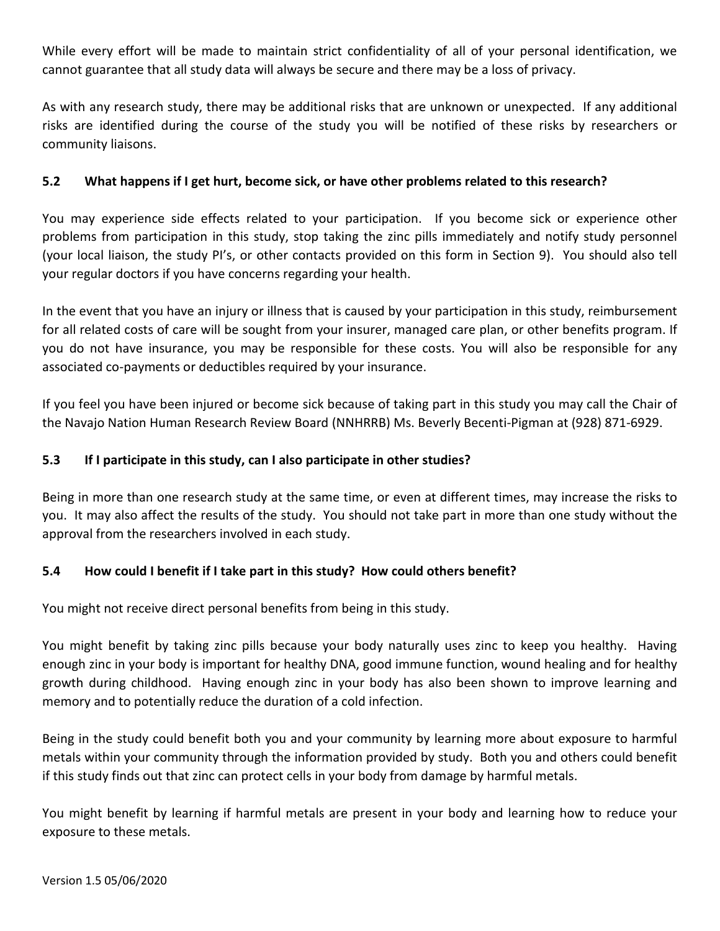While every effort will be made to maintain strict confidentiality of all of your personal identification, we cannot guarantee that all study data will always be secure and there may be a loss of privacy.

As with any research study, there may be additional risks that are unknown or unexpected. If any additional risks are identified during the course of the study you will be notified of these risks by researchers or community liaisons.

## **5.2 What happens if I get hurt, become sick, or have other problems related to this research?**

You may experience side effects related to your participation. If you become sick or experience other problems from participation in this study, stop taking the zinc pills immediately and notify study personnel (your local liaison, the study PI's, or other contacts provided on this form in Section 9). You should also tell your regular doctors if you have concerns regarding your health.

In the event that you have an injury or illness that is caused by your participation in this study, reimbursement for all related costs of care will be sought from your insurer, managed care plan, or other benefits program. If you do not have insurance, you may be responsible for these costs. You will also be responsible for any associated co-payments or deductibles required by your insurance.

If you feel you have been injured or become sick because of taking part in this study you may call the Chair of the Navajo Nation Human Research Review Board (NNHRRB) Ms. Beverly Becenti-Pigman at (928) 871-6929.

## **5.3 If I participate in this study, can I also participate in other studies?**

Being in more than one research study at the same time, or even at different times, may increase the risks to you. It may also affect the results of the study. You should not take part in more than one study without the approval from the researchers involved in each study.

### **5.4 How could I benefit if I take part in this study? How could others benefit?**

You might not receive direct personal benefits from being in this study.

You might benefit by taking zinc pills because your body naturally uses zinc to keep you healthy. Having enough zinc in your body is important for healthy DNA, good immune function, wound healing and for healthy growth during childhood. Having enough zinc in your body has also been shown to improve learning and memory and to potentially reduce the duration of a cold infection.

Being in the study could benefit both you and your community by learning more about exposure to harmful metals within your community through the information provided by study. Both you and others could benefit if this study finds out that zinc can protect cells in your body from damage by harmful metals.

You might benefit by learning if harmful metals are present in your body and learning how to reduce your exposure to these metals.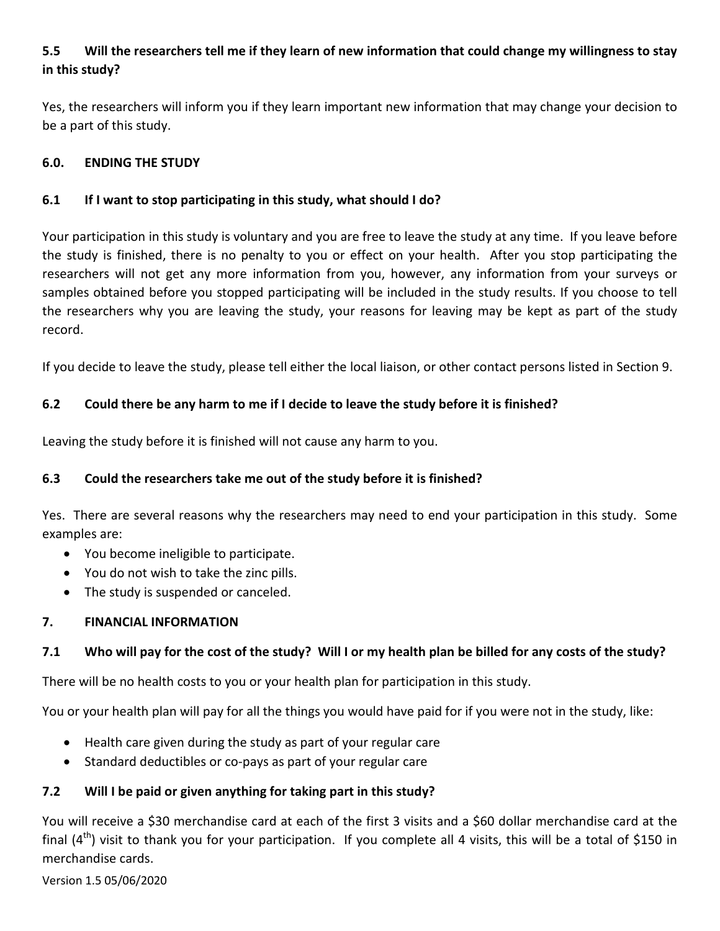# **5.5 Will the researchers tell me if they learn of new information that could change my willingness to stay in this study?**

Yes, the researchers will inform you if they learn important new information that may change your decision to be a part of this study.

### **6.0. ENDING THE STUDY**

## **6.1 If I want to stop participating in this study, what should I do?**

Your participation in this study is voluntary and you are free to leave the study at any time. If you leave before the study is finished, there is no penalty to you or effect on your health. After you stop participating the researchers will not get any more information from you, however, any information from your surveys or samples obtained before you stopped participating will be included in the study results. If you choose to tell the researchers why you are leaving the study, your reasons for leaving may be kept as part of the study record.

If you decide to leave the study, please tell either the local liaison, or other contact persons listed in Section 9.

# **6.2 Could there be any harm to me if I decide to leave the study before it is finished?**

Leaving the study before it is finished will not cause any harm to you.

# **6.3 Could the researchers take me out of the study before it is finished?**

Yes. There are several reasons why the researchers may need to end your participation in this study. Some examples are:

- You become ineligible to participate.
- You do not wish to take the zinc pills.
- The study is suspended or canceled.

### **7. FINANCIAL INFORMATION**

# **7.1 Who will pay for the cost of the study? Will I or my health plan be billed for any costs of the study?**

There will be no health costs to you or your health plan for participation in this study.

You or your health plan will pay for all the things you would have paid for if you were not in the study, like:

- Health care given during the study as part of your regular care
- Standard deductibles or co-pays as part of your regular care

# **7.2 Will I be paid or given anything for taking part in this study?**

You will receive a \$30 merchandise card at each of the first 3 visits and a \$60 dollar merchandise card at the final  $(4<sup>th</sup>)$  visit to thank you for your participation. If you complete all 4 visits, this will be a total of \$150 in merchandise cards.

Version 1.5 05/06/2020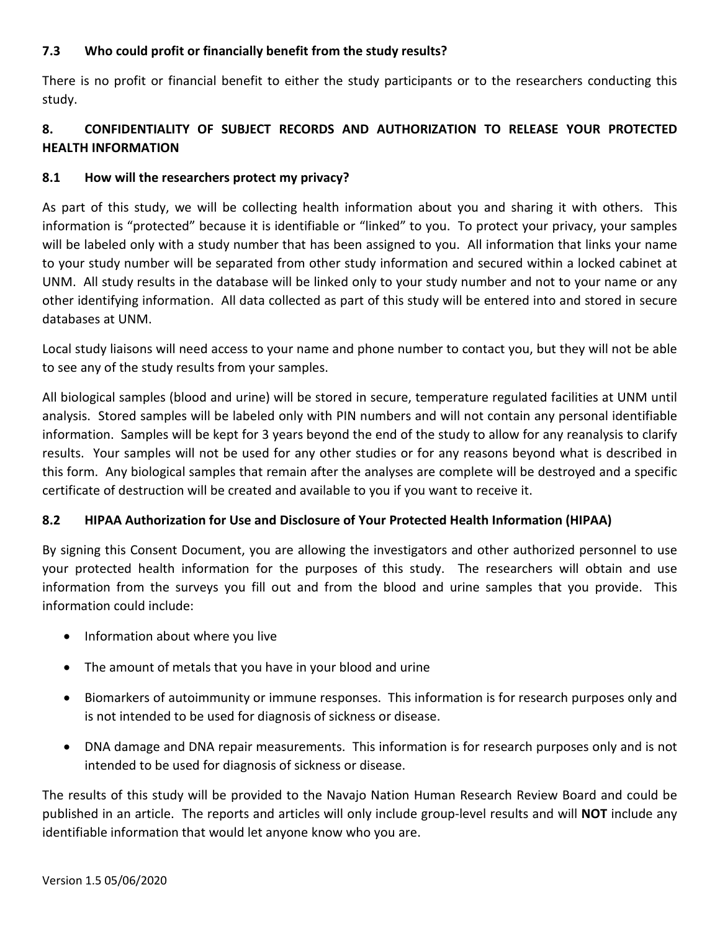## **7.3 Who could profit or financially benefit from the study results?**

There is no profit or financial benefit to either the study participants or to the researchers conducting this study.

# **8. CONFIDENTIALITY OF SUBJECT RECORDS AND AUTHORIZATION TO RELEASE YOUR PROTECTED HEALTH INFORMATION**

## **8.1 How will the researchers protect my privacy?**

As part of this study, we will be collecting health information about you and sharing it with others. This information is "protected" because it is identifiable or "linked" to you. To protect your privacy, your samples will be labeled only with a study number that has been assigned to you. All information that links your name to your study number will be separated from other study information and secured within a locked cabinet at UNM. All study results in the database will be linked only to your study number and not to your name or any other identifying information. All data collected as part of this study will be entered into and stored in secure databases at UNM.

Local study liaisons will need access to your name and phone number to contact you, but they will not be able to see any of the study results from your samples.

All biological samples (blood and urine) will be stored in secure, temperature regulated facilities at UNM until analysis. Stored samples will be labeled only with PIN numbers and will not contain any personal identifiable information. Samples will be kept for 3 years beyond the end of the study to allow for any reanalysis to clarify results. Your samples will not be used for any other studies or for any reasons beyond what is described in this form. Any biological samples that remain after the analyses are complete will be destroyed and a specific certificate of destruction will be created and available to you if you want to receive it.

# **8.2 HIPAA Authorization for Use and Disclosure of Your Protected Health Information (HIPAA)**

By signing this Consent Document, you are allowing the investigators and other authorized personnel to use your protected health information for the purposes of this study. The researchers will obtain and use information from the surveys you fill out and from the blood and urine samples that you provide. This information could include:

- Information about where you live
- The amount of metals that you have in your blood and urine
- Biomarkers of autoimmunity or immune responses. This information is for research purposes only and is not intended to be used for diagnosis of sickness or disease.
- DNA damage and DNA repair measurements. This information is for research purposes only and is not intended to be used for diagnosis of sickness or disease.

The results of this study will be provided to the Navajo Nation Human Research Review Board and could be published in an article. The reports and articles will only include group-level results and will **NOT** include any identifiable information that would let anyone know who you are.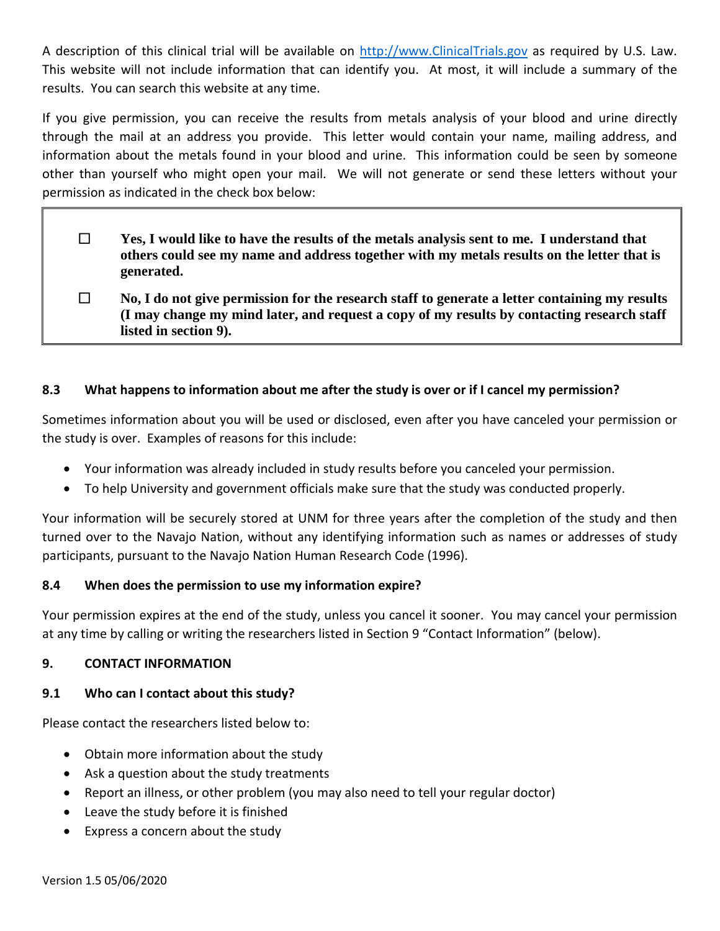A description of this clinical trial will be available on [http://www.ClinicalTrials.gov](http://www.clinicaltrials.gov/) as required by U.S. Law. This website will not include information that can identify you. At most, it will include a summary of the results. You can search this website at any time.

If you give permission, you can receive the results from metals analysis of your blood and urine directly through the mail at an address you provide. This letter would contain your name, mailing address, and information about the metals found in your blood and urine. This information could be seen by someone other than yourself who might open your mail. We will not generate or send these letters without your permission as indicated in the check box below:

- **Yes, I would like to have the results of the metals analysis sent to me. I understand that others could see my name and address together with my metals results on the letter that is generated.**
- **No, I do not give permission for the research staff to generate a letter containing my results (I may change my mind later, and request a copy of my results by contacting research staff listed in section 9).**

### **8.3 What happens to information about me after the study is over or if I cancel my permission?**

Sometimes information about you will be used or disclosed, even after you have canceled your permission or the study is over. Examples of reasons for this include:

- Your information was already included in study results before you canceled your permission.
- To help University and government officials make sure that the study was conducted properly.

Your information will be securely stored at UNM for three years after the completion of the study and then turned over to the Navajo Nation, without any identifying information such as names or addresses of study participants, pursuant to the Navajo Nation Human Research Code (1996).

### **8.4 When does the permission to use my information expire?**

Your permission expires at the end of the study, unless you cancel it sooner. You may cancel your permission at any time by calling or writing the researchers listed in Section 9 "Contact Information" (below).

#### **9. CONTACT INFORMATION**

### **9.1 Who can I contact about this study?**

Please contact the researchers listed below to:

- Obtain more information about the study
- Ask a question about the study treatments
- Report an illness, or other problem (you may also need to tell your regular doctor)
- Leave the study before it is finished
- Express a concern about the study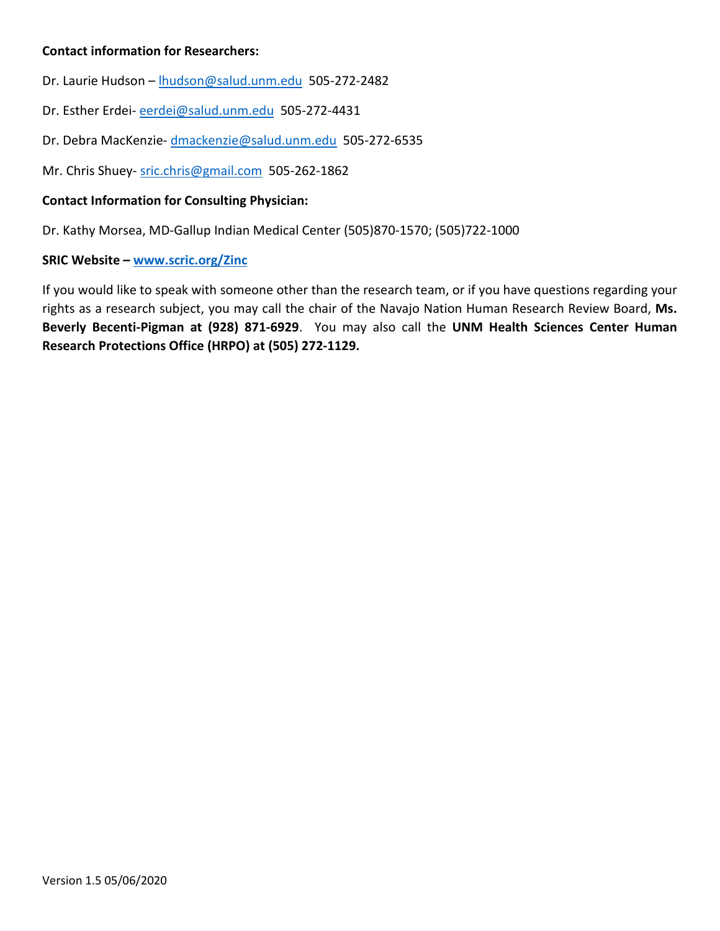### **Contact information for Researchers:**

- Dr. Laurie Hudson [lhudson@salud.unm.edu](mailto:lhudson@salud.unm.edu) 505-272-2482
- Dr. Esther Erdei- [eerdei@salud.unm.edu](mailto:eerdei@salud.unm.edu) 505-272-4431
- Dr. Debra MacKenzie- [dmackenzie@salud.unm.edu](mailto:dmackenzie@salud.unm.edu) 505-272-6535
- Mr. Chris Shuey- [sric.chris@gmail.com](mailto:sric.chris@gmail.com) 505-262-1862

#### **Contact Information for Consulting Physician:**

Dr. Kathy Morsea, MD-Gallup Indian Medical Center (505)870-1570; (505)722-1000

#### **SRIC Website – [www.scric.org/Zinc](http://www.scric.org/Zinc)**

If you would like to speak with someone other than the research team, or if you have questions regarding your rights as a research subject, you may call the chair of the Navajo Nation Human Research Review Board, **Ms. Beverly Becenti-Pigman at (928) 871-6929**. You may also call the **UNM Health Sciences Center Human Research Protections Office (HRPO) at (505) 272-1129.**